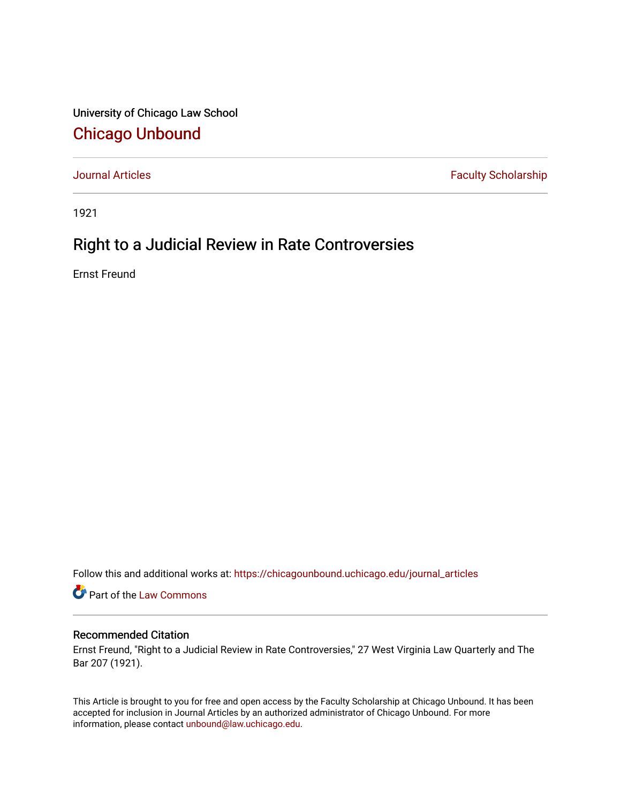University of Chicago Law School [Chicago Unbound](https://chicagounbound.uchicago.edu/)

[Journal Articles](https://chicagounbound.uchicago.edu/journal_articles) **Faculty Scholarship Faculty Scholarship** 

1921

## Right to a Judicial Review in Rate Controversies

Ernst Freund

Follow this and additional works at: [https://chicagounbound.uchicago.edu/journal\\_articles](https://chicagounbound.uchicago.edu/journal_articles?utm_source=chicagounbound.uchicago.edu%2Fjournal_articles%2F7832&utm_medium=PDF&utm_campaign=PDFCoverPages) 

Part of the [Law Commons](http://network.bepress.com/hgg/discipline/578?utm_source=chicagounbound.uchicago.edu%2Fjournal_articles%2F7832&utm_medium=PDF&utm_campaign=PDFCoverPages)

## Recommended Citation

Ernst Freund, "Right to a Judicial Review in Rate Controversies," 27 West Virginia Law Quarterly and The Bar 207 (1921).

This Article is brought to you for free and open access by the Faculty Scholarship at Chicago Unbound. It has been accepted for inclusion in Journal Articles by an authorized administrator of Chicago Unbound. For more information, please contact [unbound@law.uchicago.edu](mailto:unbound@law.uchicago.edu).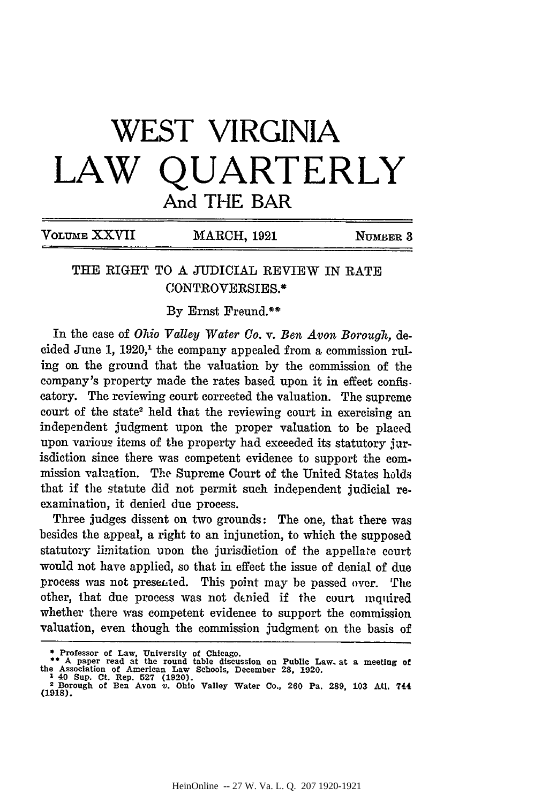## **WEST VIRGINIA LAW QUARTERLY** And THE BAR

| VOLUME XXVII | <b>MARCH, 1921</b> | NUMBER 3 |
|--------------|--------------------|----------|
|              |                    |          |

## THE RIGHT TO A JUDICIAL REVIEW IN RATE CONTROVERSIES.\*

**By** Ernst Freund.\*\*

In the case of *Ohio Valley Water Co.* v. *Ben Avon Borough,* decided June 1, 1920,' the company appealed from a commission ruling on the ground that the valuation by the commission of the company's property made the rates based upon it in effect confis. catory. The reviewing court corrected the valuation. The supreme court of the state<sup>2</sup> held that the reviewing court in exercising an independent judgment upon the proper valuation to be placed upon various items of the property had exceeded its statutory jurisdiction since there was competent evidence to support the commission valuation. The Supreme Court of the United States holds that if the statute did not permit such independent judicial reexamination, it denied due process.

Three judges dissent on two grounds: The one, that there was besides the appeal, a right to an injunction, to which the supposed statutory limitation upon the jurisdiction of the appellate court would not have applied, so that in effect the issue of denial of due process was not prese-ted. This point may be passed over. The other, that due process was not denied if the court inquired whether there was competent evidence to support the commission valuation, even though the commission judgment on the basis of

**<sup>\*</sup> Professor of Law, University of Chicago. \* A** paper read at the round table discussion on Public Law at a meeting **of** 

**the Association** of **American Law** Schools, December **28, 1920. 1 40 Sup. Ct. Rep. 527 (1920).**

<sup>2</sup> **Borough of Ben Avon** *v.* **Ohio Valley Water Co., 260 Pa. 289, 103 Atl. 744 (1918).**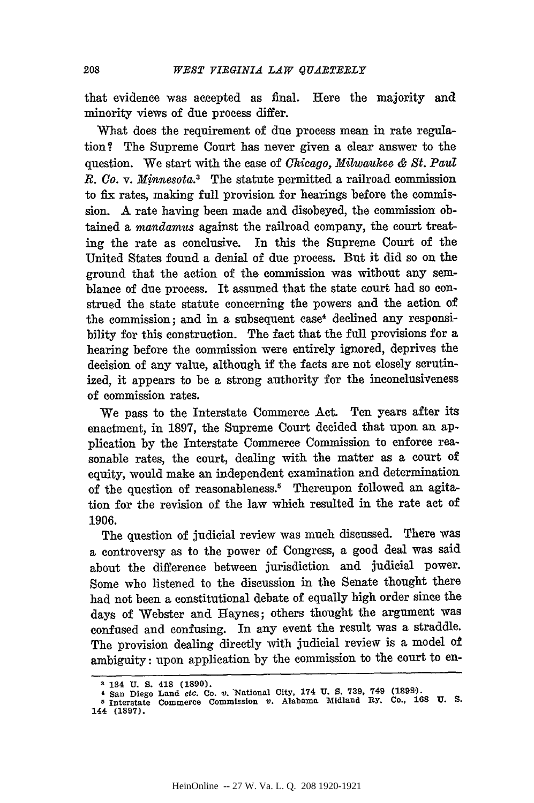that evidence was accepted as final. Here the majority and minority views of due process differ.

What does the requirement of due process mean in rate regulation? The Supreme Court has never given a clear answer to the question. We start with the case of *Chicago, Milwaukee & St. Paul R. Co.* v. *Minnesota.3* The statute permitted a railroad commission to fix rates, making full provision for hearings before the commission. A rate having been made and disobeyed, the commission obtained a *mandamus* against the railroad company, the court treating the rate as conclusive. In this the Supreme Court of the United States found a denial of due process. But it did so on the ground that the action of the commission was without any semblance of due process. It assumed that the state court had so construed the state statute concerning the powers and the action of the commission; and in a subsequent case<sup>4</sup> declined any responsibility for this construction. The fact that the full provisions for a hearing before the commission were entirely ignored, deprives the decision of any value, although if the facts are not closely scrutinized, it appears to be a strong authority for the inconclusiveness of commission rates.

We pass to the Interstate Commerce Act. Ten years after its enactment, in 1897, the Supreme Court decided that upon an application by the Interstate Commerce Commission to enforce reasonable rates, the court, dealing with the matter as a court of equity, would make an independent examination and determination of the question of reasonableness.<sup>5</sup> Thereupon followed an agitation for the revision of the law which resulted in the rate act of 1906.

The question of judicial review was much discussed. There was a controversy as to the power of Congress, a good deal was said about the difference between jurisdiction and judicial power. Some who listened to the discussion in the Senate thought there had not been a constitutional debate of equally high order since the days of Webster and Haynes; others thought the argument was confused and confusing. In any event the result was a straddle. The provision dealing directly with judicial review is a model of ambiguity: upon application by the commission to the court to en-

<sup>3</sup> **134 U. S. 418 (1890).**

**San Diego Land** *etc.* **Co. v. National City, 174 U. 5. 739. 749 (1898). 6 Interstate Commerce Commission V. Alabama Midland Ry. Co., 168 U. S. 144 (1897).**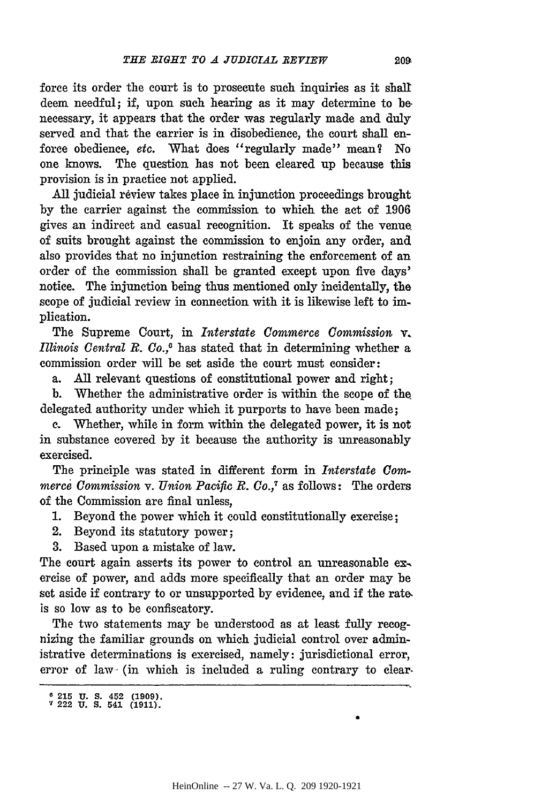force its order the court is to prosecute such inquiries as it shall deem needful; if, upon such hearing as it may determine to **be** necessary, it appears that the order was regularly made and duly served and that the carrier is in disobedience, the court shall enforce obedience, etc. What does "regularly made" mean? No one knows. The question has not been cleared up because this provision is in practice not applied.

All judicial review takes place in injunction proceedings brought by the carrier against the commission to which the act of 1906 gives an indirect and casual recognition. It speaks of the venue of suits brought against the commission to enjoin any order, and also provides that no injunction restraining the enforcement of an order of the commission shall be granted except upon five days' notice. The injunction being thus mentioned only incidentally, the scope of judicial review in connection with it is likewise left to implication.

The Supreme Court, in *Interstate Commerce Commission v. Illinois Central R. Co.,0* has stated that in determining whether a commission order will be set aside the court must consider:

a. **All** relevant questions of constitutional power and right;

b. Whether the administrative order is within the scope of the delegated authority under which it purports to have been made;

**c.** Whether, while in form within the delegated power, it is not in substance covered by it because the authority is unreasonably exercised.

The principle was stated in different form in *Interstate Commerce Commission* v. *Union Pacific R. Co.,7* as follows: The orders of the Commission are final unless,

- 1. Beyond the power which it could constitutionally exercise;
- 2. Beyond its statutory power;

3. Based upon a mistake of law.

The court again asserts its power to control an unreasonable exercise of power, and adds more specifically that an order may be set aside if contrary to or unsupported by evidence, and if the rate, is so low as to be confiscatory.

The two statements may be understood as at least fully recognizing the familiar grounds on which judicial control over administrative determinations is exercised, namely: jurisdictional error, error of law- (in which is included a ruling contrary to clear.

**o 215 U. S.** 452 **(1909).** " **222 U. S. 541 (1911).**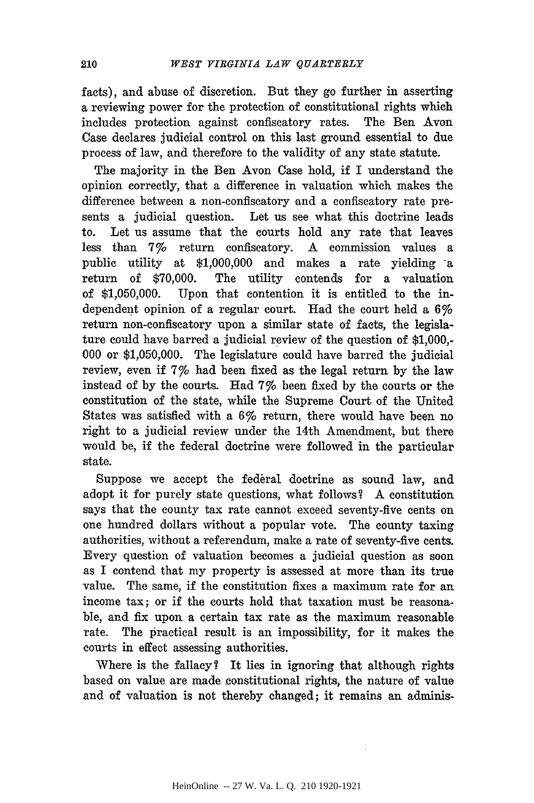facts), and abuse of discretion. But they go further in asserting a reviewing power for the protection of constitutional rights which includes protection against confiscatory rates. The Ben Avon Case declares judicial control on this last ground essential to due process of law, and therefore to the validity of any state statute.

The majority in the Ben Avon Case hold, if I understand the opinion correctly, that a difference in valuation which makes the difference between a non-confiscatory and a confiscatory rate presents a judicial question. Let us see what this doctrine leads to. Let us assume that the courts hold any rate that leaves less than 7% return confiscatory. A commission values a public utility at \$1,000,000 and makes a rate yielding a return of \$70,000. The utility contends for a valuation of \$1,050,000. Upon that contention it is entitled to the independent opinion of a regular court. Had the court held a 6% return non-confiscatory upon a similar state of facts, the legislature could have barred a judicial review of the question of \$1,000,- 000 or \$1,050,000. The legislature could have barred the judicial review, even if 7% had been fixed as the legal return by the law instead of by the courts. Had 7% been fixed by the courts or the constitution of the state, while the Supreme Court of the United States was satisfied with a 6% return, there would have been no right to a judicial review under the 14th Amendment, but there would be, if the federal doctrine were followed in the particular state.

Suppose we accept the federal doctrine as sound law, and adopt it for purely state questions, what follows? A constitution says that the county tax rate cannot exceed seventy-five cents on one hundred dollars without a popular vote. The county taxing authorities, without a referendum, make a rate of seventy-five cents. Every question of valuation becomes a judicial question as soon as I contend that my property is assessed at more than its true value. The same, if the constitution fixes a maximum rate for an income tax; or if the courts hold that taxation must be reasonable, and fix upon a certain tax rate as the maximum reasonable rate. The practical result is an impossibility, for it makes the courts in effect assessing authorities.

Where is the fallacy? It lies in ignoring that although rights based on value are made constitutional rights, the nature of value and of valuation is not thereby changed; it remains an adminis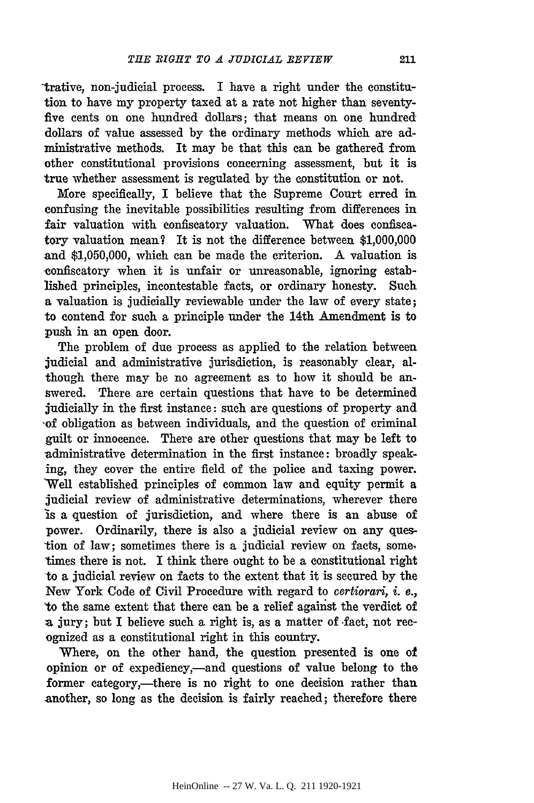trative, non-judicial process. I have a right under the constitution to have my property taxed at a rate not higher than seventyfive cents on one hundred dollars; that means on one hundred dollars of value assessed by the ordinary methods which are administrative methods. It may be that this can be gathered from other constitutional provisions concerning assessment, but it is true whether assessment is regulated by the constitution or not.

More specifically, I believe that the Supreme Court erred in confusing the inevitable possibilities resulting from differences in fair valuation with confiscatory valuation. What does confiscatory valuation mean? It is not the difference between \$1,000,000 and \$1,050,000, which can be made the criterion. A valuation is confiscatory when it is unfair or unreasonable, ignoring established principles, incontestable facts, or ordinary honesty. Such a valuation is judicially reviewable under the law of every state; to contend for such a principle under the 14th Amendment is to push in an open door.

The problem of due process as applied to the relation between judicial and administrative jurisdiction, is reasonably clear, although there may be no agreement as to how it should be answered. There are certain questions that have to be determined judicially in the first instance: such are questions of property and of obligation as between individuals, and the question of criminal guilt or innocence. There are other questions that may be left to administrative determination in the first instance: broadly speaking, they cover the entire field of the police and taxing power. 'Well established principles of common law and equity permit a judicial review of administrative determinations, wherever there is a question of jurisdiction, and where there is an abuse of power. Ordinarily, there is also a judicial review on any question of law; sometimes there is a judicial review on facts, some times there is not. I think there ought to be a constitutional right to a judicial review on facts to the extent that it is secured by the New York Code of Civil Procedure with regard to certiorari, *i.* e., 'to the same extent that there can be a relief against the verdict of a jury; but I believe such a right is, as a matter of fact, not recognized as a constitutional right in this country.

Where, on the other hand, the question presented is one of opinion or of expediency,-and questions of value belong to the former category,—there is no right to one decision rather than another, so long as the decision is fairly reached; therefore there